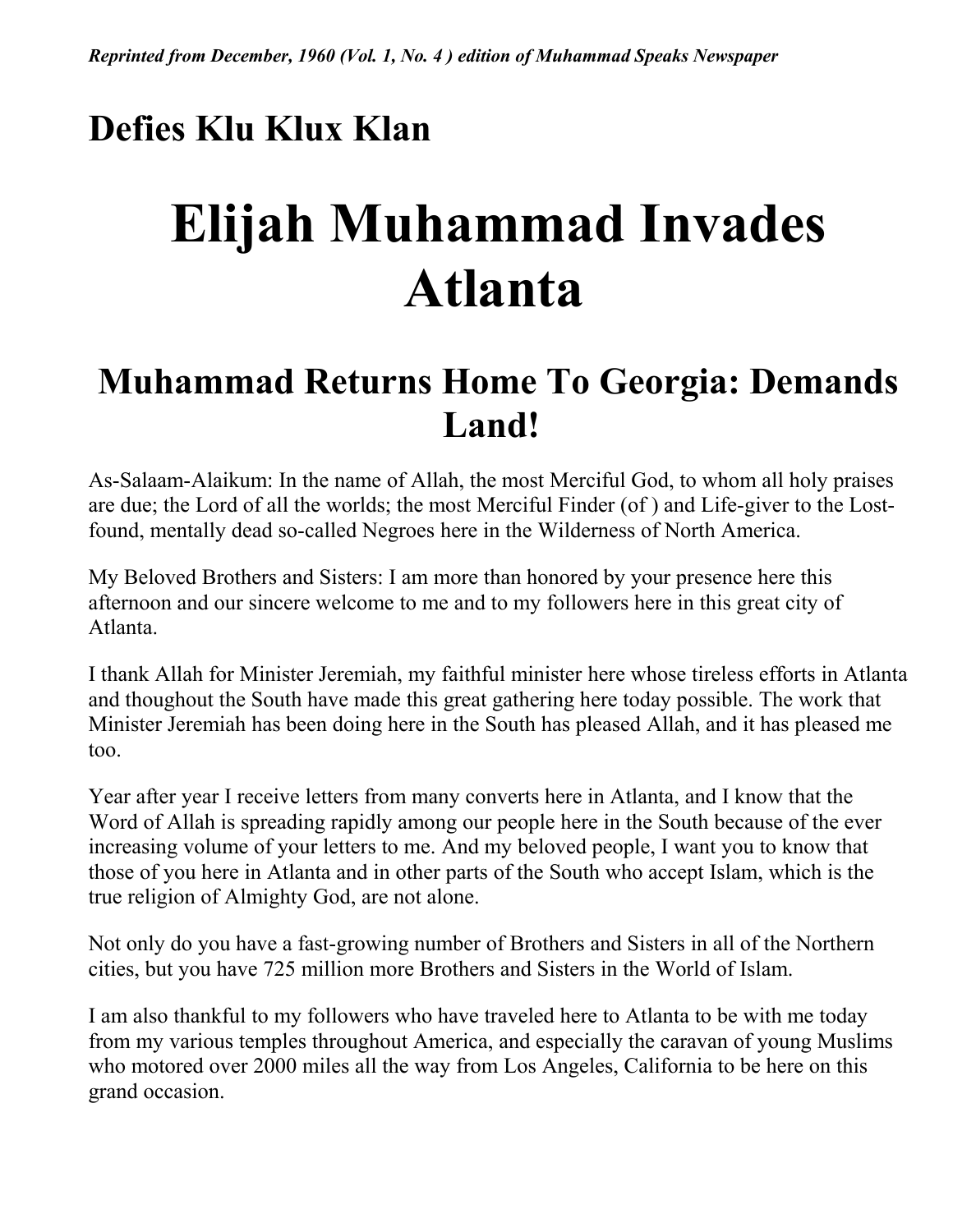## **Defies Klu Klux Klan**

## **Elijah Muhammad Invades Atlanta**

#### **Muhammad Returns Home To Georgia: Demands Land!**

As-Salaam-Alaikum: In the name of Allah, the most Merciful God, to whom all holy praises are due; the Lord of all the worlds; the most Merciful Finder (of ) and Life-giver to the Lostfound, mentally dead so-called Negroes here in the Wilderness of North America.

My Beloved Brothers and Sisters: I am more than honored by your presence here this afternoon and our sincere welcome to me and to my followers here in this great city of Atlanta.

I thank Allah for Minister Jeremiah, my faithful minister here whose tireless efforts in Atlanta and thoughout the South have made this great gathering here today possible. The work that Minister Jeremiah has been doing here in the South has pleased Allah, and it has pleased me too.

Year after year I receive letters from many converts here in Atlanta, and I know that the Word of Allah is spreading rapidly among our people here in the South because of the ever increasing volume of your letters to me. And my beloved people, I want you to know that those of you here in Atlanta and in other parts of the South who accept Islam, which is the true religion of Almighty God, are not alone.

Not only do you have a fast-growing number of Brothers and Sisters in all of the Northern cities, but you have 725 million more Brothers and Sisters in the World of Islam.

I am also thankful to my followers who have traveled here to Atlanta to be with me today from my various temples throughout America, and especially the caravan of young Muslims who motored over 2000 miles all the way from Los Angeles, California to be here on this grand occasion.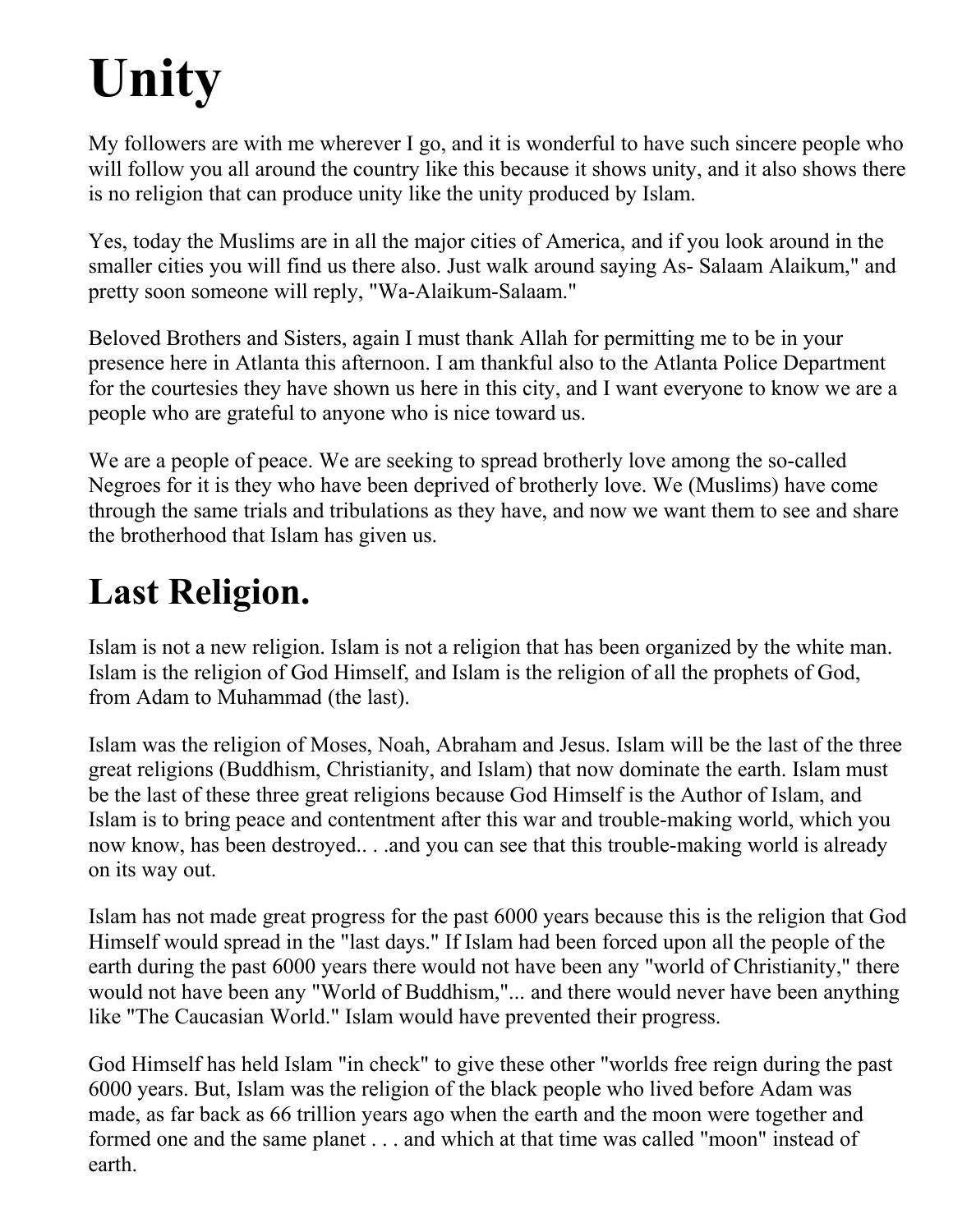# **Unity**

My followers are with me wherever I go, and it is wonderful to have such sincere people who will follow you all around the country like this because it shows unity, and it also shows there is no religion that can produce unity like the unity produced by Islam.

Yes, today the Muslims are in all the major cities of America, and if you look around in the smaller cities you will find us there also. Just walk around saying As- Salaam Alaikum," and pretty soon someone will reply, "Wa-Alaikum-Salaam."

Beloved Brothers and Sisters, again I must thank Allah for permitting me to be in your presence here in Atlanta this afternoon. I am thankful also to the Atlanta Police Department for the courtesies they have shown us here in this city, and I want everyone to know we are a people who are grateful to anyone who is nice toward us.

We are a people of peace. We are seeking to spread brotherly love among the so-called Negroes for it is they who have been deprived of brotherly love. We (Muslims) have come through the same trials and tribulations as they have, and now we want them to see and share the brotherhood that Islam has given us.

## **Last Religion.**

Islam is not a new religion. Islam is not a religion that has been organized by the white man. Islam is the religion of God Himself, and Islam is the religion of all the prophets of God, from Adam to Muhammad (the last).

Islam was the religion of Moses, Noah, Abraham and Jesus. Islam will be the last of the three great religions (Buddhism, Christianity, and Islam) that now dominate the earth. Islam must be the last of these three great religions because God Himself is the Author of Islam, and Islam is to bring peace and contentment after this war and trouble-making world, which you now know, has been destroyed.. . .and you can see that this trouble-making world is already on its way out.

Islam has not made great progress for the past 6000 years because this is the religion that God Himself would spread in the "last days." If Islam had been forced upon all the people of the earth during the past 6000 years there would not have been any "world of Christianity," there would not have been any "World of Buddhism,"... and there would never have been anything like "The Caucasian World." Islam would have prevented their progress.

God Himself has held Islam "in check" to give these other "worlds free reign during the past 6000 years. But, Islam was the religion of the black people who lived before Adam was made, as far back as 66 trillion years ago when the earth and the moon were together and formed one and the same planet . . . and which at that time was called "moon" instead of earth.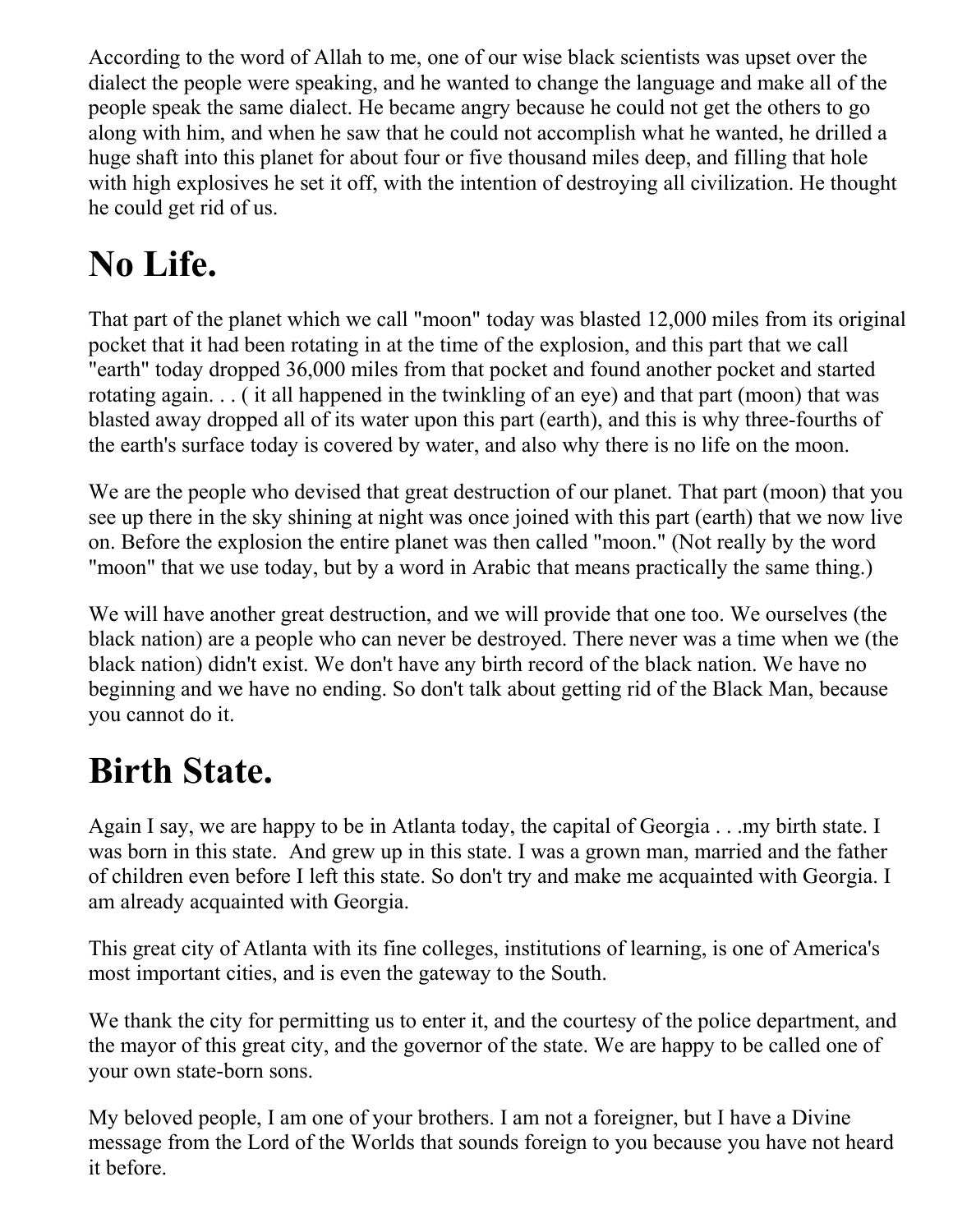According to the word of Allah to me, one of our wise black scientists was upset over the dialect the people were speaking, and he wanted to change the language and make all of the people speak the same dialect. He became angry because he could not get the others to go along with him, and when he saw that he could not accomplish what he wanted, he drilled a huge shaft into this planet for about four or five thousand miles deep, and filling that hole with high explosives he set it off, with the intention of destroying all civilization. He thought he could get rid of us.

## **No Life.**

That part of the planet which we call "moon" today was blasted 12,000 miles from its original pocket that it had been rotating in at the time of the explosion, and this part that we call "earth" today dropped 36,000 miles from that pocket and found another pocket and started rotating again. . . ( it all happened in the twinkling of an eye) and that part (moon) that was blasted away dropped all of its water upon this part (earth), and this is why three-fourths of the earth's surface today is covered by water, and also why there is no life on the moon.

We are the people who devised that great destruction of our planet. That part (moon) that you see up there in the sky shining at night was once joined with this part (earth) that we now live on. Before the explosion the entire planet was then called "moon." (Not really by the word "moon" that we use today, but by a word in Arabic that means practically the same thing.)

We will have another great destruction, and we will provide that one too. We ourselves (the black nation) are a people who can never be destroyed. There never was a time when we (the black nation) didn't exist. We don't have any birth record of the black nation. We have no beginning and we have no ending. So don't talk about getting rid of the Black Man, because you cannot do it.

## **Birth State.**

Again I say, we are happy to be in Atlanta today, the capital of Georgia . . .my birth state. I was born in this state. And grew up in this state. I was a grown man, married and the father of children even before I left this state. So don't try and make me acquainted with Georgia. I am already acquainted with Georgia.

This great city of Atlanta with its fine colleges, institutions of learning, is one of America's most important cities, and is even the gateway to the South.

We thank the city for permitting us to enter it, and the courtesy of the police department, and the mayor of this great city, and the governor of the state. We are happy to be called one of your own state-born sons.

My beloved people, I am one of your brothers. I am not a foreigner, but I have a Divine message from the Lord of the Worlds that sounds foreign to you because you have not heard it before.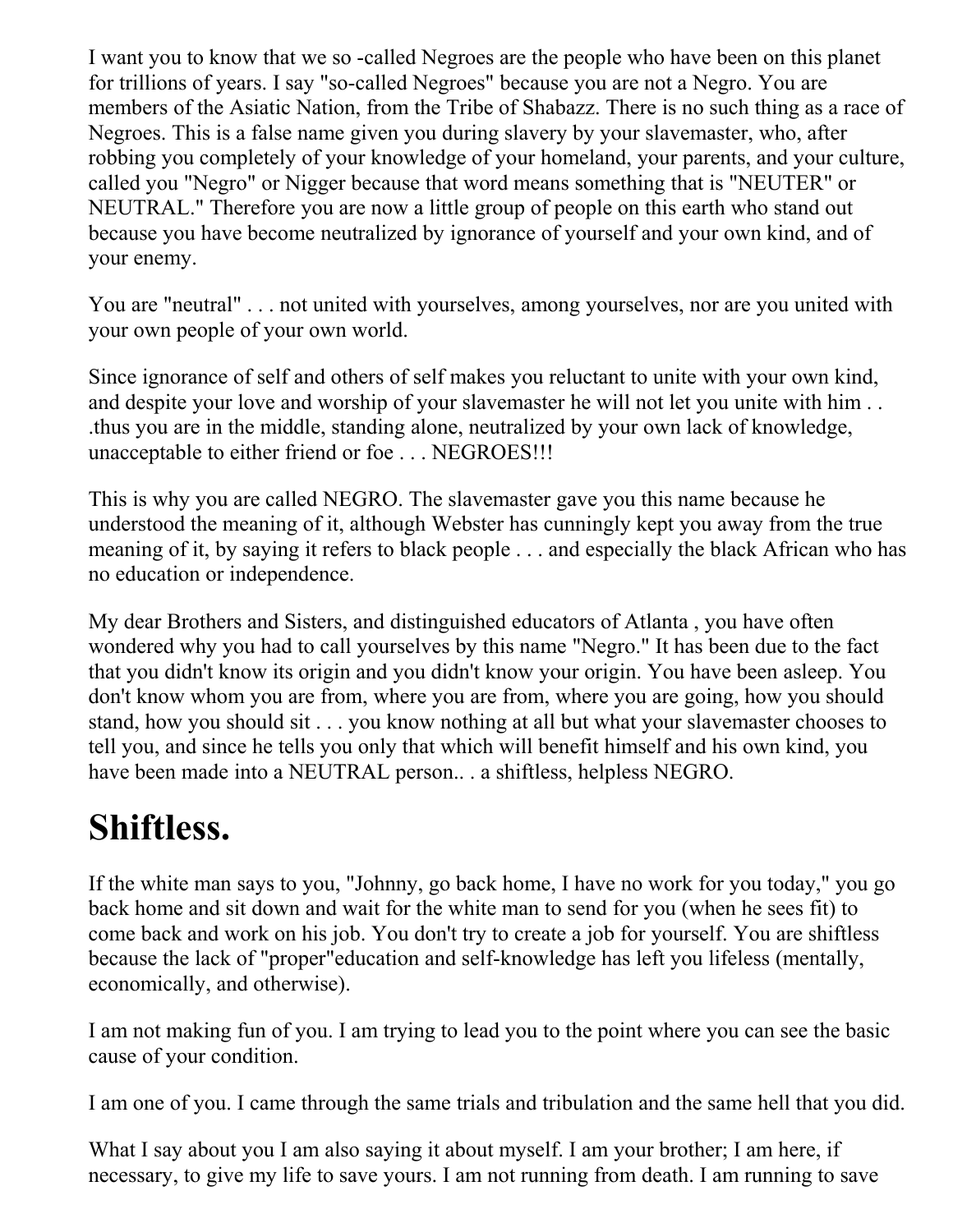I want you to know that we so -called Negroes are the people who have been on this planet for trillions of years. I say "so-called Negroes" because you are not a Negro. You are members of the Asiatic Nation, from the Tribe of Shabazz. There is no such thing as a race of Negroes. This is a false name given you during slavery by your slavemaster, who, after robbing you completely of your knowledge of your homeland, your parents, and your culture, called you "Negro" or Nigger because that word means something that is "NEUTER" or NEUTRAL." Therefore you are now a little group of people on this earth who stand out because you have become neutralized by ignorance of yourself and your own kind, and of your enemy.

You are "neutral" . . . not united with yourselves, among yourselves, nor are you united with your own people of your own world.

Since ignorance of self and others of self makes you reluctant to unite with your own kind, and despite your love and worship of your slavemaster he will not let you unite with him . . .thus you are in the middle, standing alone, neutralized by your own lack of knowledge, unacceptable to either friend or foe . . . NEGROES!!!

This is why you are called NEGRO. The slavemaster gave you this name because he understood the meaning of it, although Webster has cunningly kept you away from the true meaning of it, by saying it refers to black people . . . and especially the black African who has no education or independence.

My dear Brothers and Sisters, and distinguished educators of Atlanta , you have often wondered why you had to call yourselves by this name "Negro." It has been due to the fact that you didn't know its origin and you didn't know your origin. You have been asleep. You don't know whom you are from, where you are from, where you are going, how you should stand, how you should sit . . . you know nothing at all but what your slavemaster chooses to tell you, and since he tells you only that which will benefit himself and his own kind, you have been made into a NEUTRAL person.. . a shiftless, helpless NEGRO.

#### **Shiftless.**

If the white man says to you, "Johnny, go back home, I have no work for you today," you go back home and sit down and wait for the white man to send for you (when he sees fit) to come back and work on his job. You don't try to create a job for yourself. You are shiftless because the lack of "proper"education and self-knowledge has left you lifeless (mentally, economically, and otherwise).

I am not making fun of you. I am trying to lead you to the point where you can see the basic cause of your condition.

I am one of you. I came through the same trials and tribulation and the same hell that you did.

What I say about you I am also saying it about myself. I am your brother; I am here, if necessary, to give my life to save yours. I am not running from death. I am running to save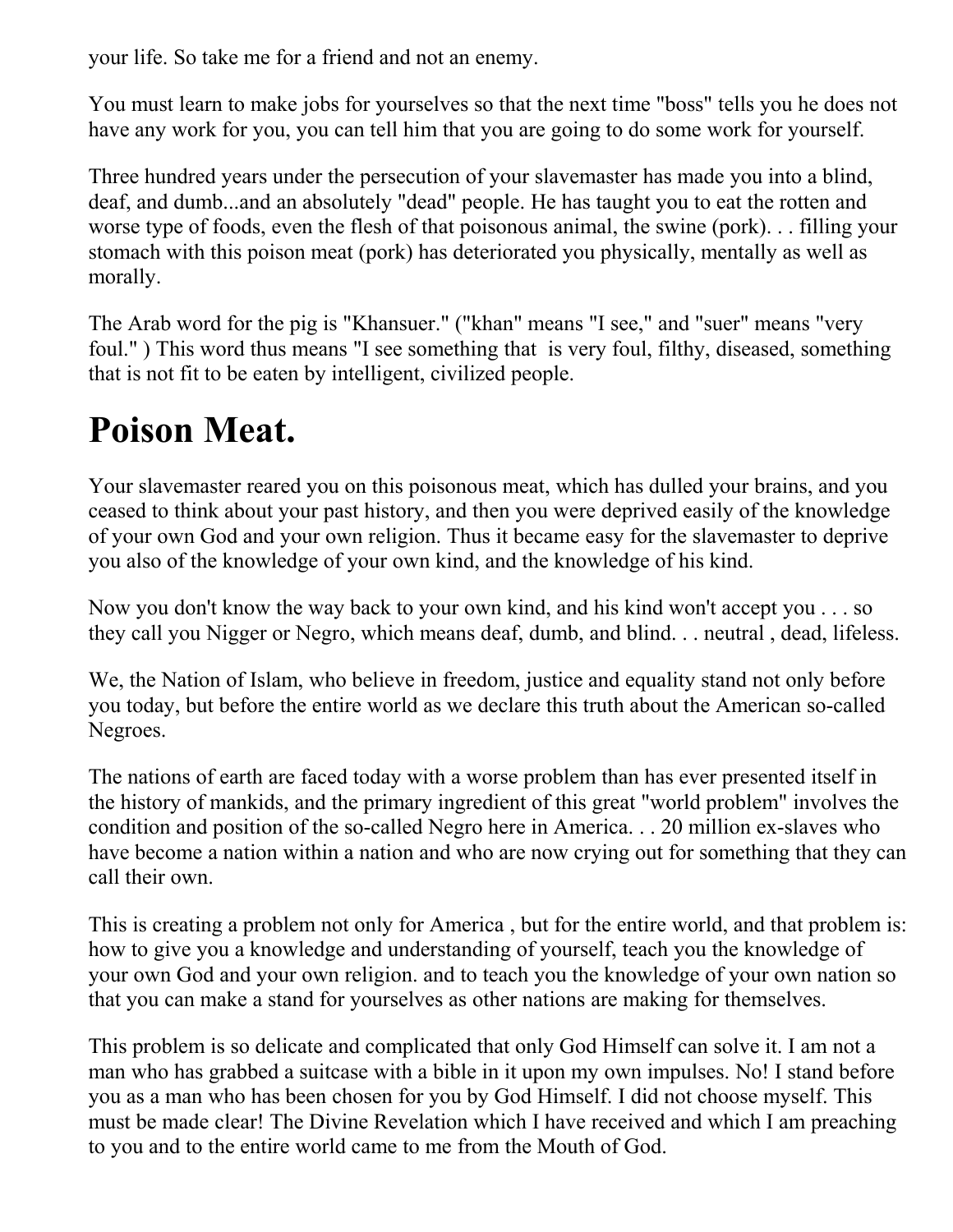your life. So take me for a friend and not an enemy.

You must learn to make jobs for yourselves so that the next time "boss" tells you he does not have any work for you, you can tell him that you are going to do some work for yourself.

Three hundred years under the persecution of your slavemaster has made you into a blind, deaf, and dumb...and an absolutely "dead" people. He has taught you to eat the rotten and worse type of foods, even the flesh of that poisonous animal, the swine (pork). . . filling your stomach with this poison meat (pork) has deteriorated you physically, mentally as well as morally.

The Arab word for the pig is "Khansuer." ("khan" means "I see," and "suer" means "very foul." ) This word thus means "I see something that is very foul, filthy, diseased, something that is not fit to be eaten by intelligent, civilized people.

#### **Poison Meat.**

Your slavemaster reared you on this poisonous meat, which has dulled your brains, and you ceased to think about your past history, and then you were deprived easily of the knowledge of your own God and your own religion. Thus it became easy for the slavemaster to deprive you also of the knowledge of your own kind, and the knowledge of his kind.

Now you don't know the way back to your own kind, and his kind won't accept you . . . so they call you Nigger or Negro, which means deaf, dumb, and blind. . . neutral , dead, lifeless.

We, the Nation of Islam, who believe in freedom, justice and equality stand not only before you today, but before the entire world as we declare this truth about the American so-called Negroes.

The nations of earth are faced today with a worse problem than has ever presented itself in the history of mankids, and the primary ingredient of this great "world problem" involves the condition and position of the so-called Negro here in America. . . 20 million ex-slaves who have become a nation within a nation and who are now crying out for something that they can call their own.

This is creating a problem not only for America , but for the entire world, and that problem is: how to give you a knowledge and understanding of yourself, teach you the knowledge of your own God and your own religion. and to teach you the knowledge of your own nation so that you can make a stand for yourselves as other nations are making for themselves.

This problem is so delicate and complicated that only God Himself can solve it. I am not a man who has grabbed a suitcase with a bible in it upon my own impulses. No! I stand before you as a man who has been chosen for you by God Himself. I did not choose myself. This must be made clear! The Divine Revelation which I have received and which I am preaching to you and to the entire world came to me from the Mouth of God.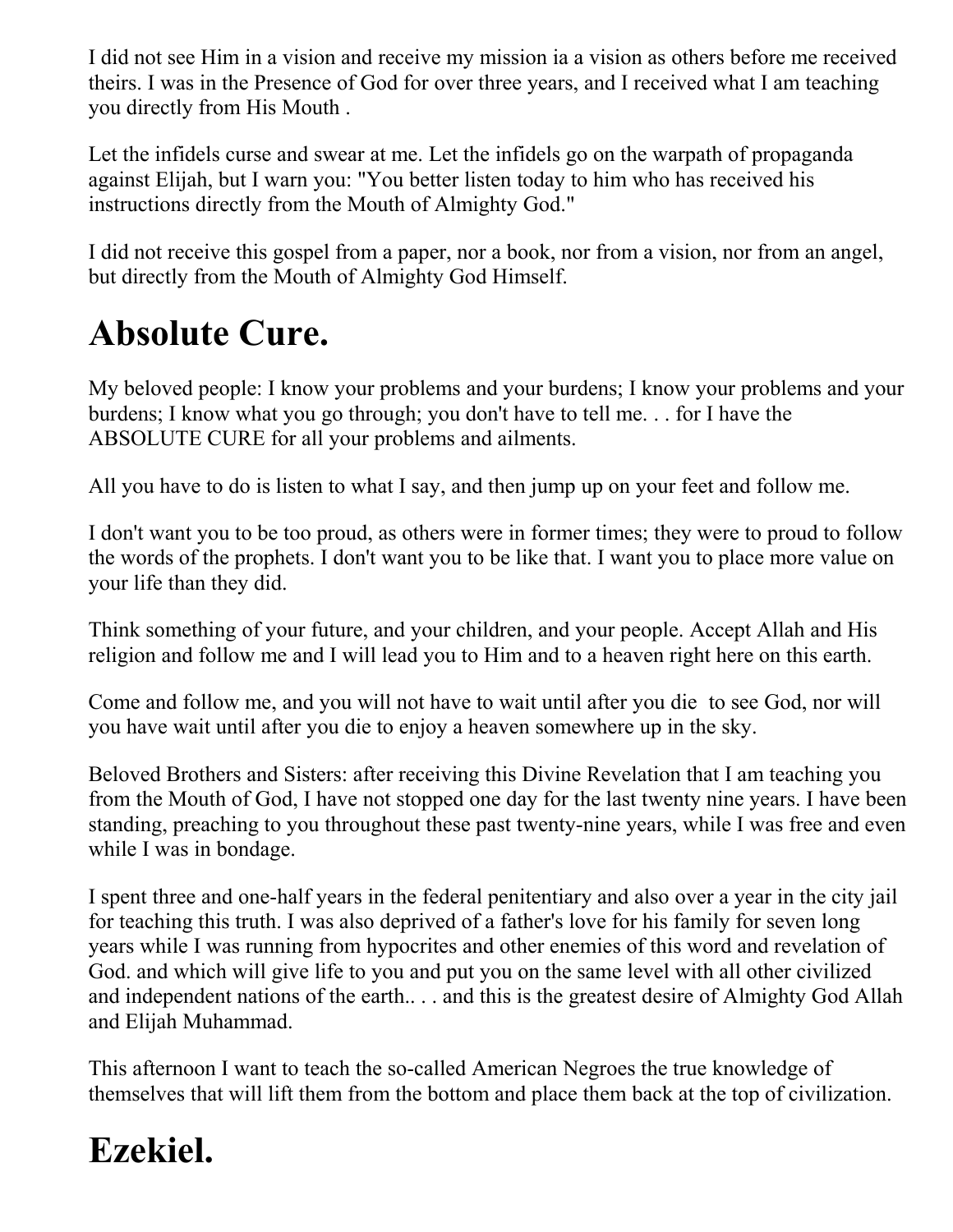I did not see Him in a vision and receive my mission ia a vision as others before me received theirs. I was in the Presence of God for over three years, and I received what I am teaching you directly from His Mouth .

Let the infidels curse and swear at me. Let the infidels go on the warpath of propaganda against Elijah, but I warn you: "You better listen today to him who has received his instructions directly from the Mouth of Almighty God."

I did not receive this gospel from a paper, nor a book, nor from a vision, nor from an angel, but directly from the Mouth of Almighty God Himself.

## **Absolute Cure.**

My beloved people: I know your problems and your burdens; I know your problems and your burdens; I know what you go through; you don't have to tell me. . . for I have the ABSOLUTE CURE for all your problems and ailments.

All you have to do is listen to what I say, and then jump up on your feet and follow me.

I don't want you to be too proud, as others were in former times; they were to proud to follow the words of the prophets. I don't want you to be like that. I want you to place more value on your life than they did.

Think something of your future, and your children, and your people. Accept Allah and His religion and follow me and I will lead you to Him and to a heaven right here on this earth.

Come and follow me, and you will not have to wait until after you die to see God, nor will you have wait until after you die to enjoy a heaven somewhere up in the sky.

Beloved Brothers and Sisters: after receiving this Divine Revelation that I am teaching you from the Mouth of God, I have not stopped one day for the last twenty nine years. I have been standing, preaching to you throughout these past twenty-nine years, while I was free and even while I was in bondage.

I spent three and one-half years in the federal penitentiary and also over a year in the city jail for teaching this truth. I was also deprived of a father's love for his family for seven long years while I was running from hypocrites and other enemies of this word and revelation of God. and which will give life to you and put you on the same level with all other civilized and independent nations of the earth.. . . and this is the greatest desire of Almighty God Allah and Elijah Muhammad.

This afternoon I want to teach the so-called American Negroes the true knowledge of themselves that will lift them from the bottom and place them back at the top of civilization.

## **Ezekiel.**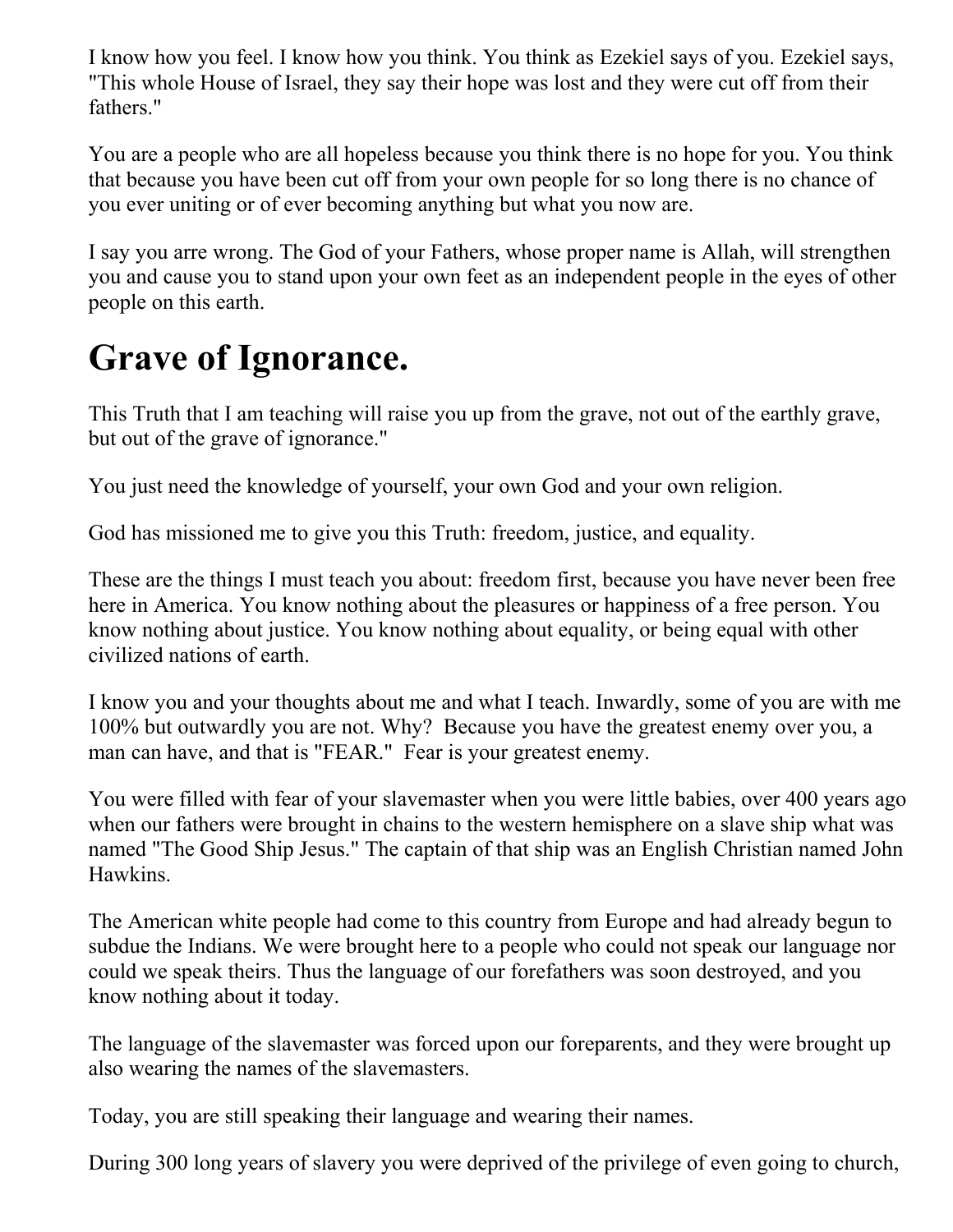I know how you feel. I know how you think. You think as Ezekiel says of you. Ezekiel says, "This whole House of Israel, they say their hope was lost and they were cut off from their fathers."

You are a people who are all hopeless because you think there is no hope for you. You think that because you have been cut off from your own people for so long there is no chance of you ever uniting or of ever becoming anything but what you now are.

I say you arre wrong. The God of your Fathers, whose proper name is Allah, will strengthen you and cause you to stand upon your own feet as an independent people in the eyes of other people on this earth.

## **Grave of Ignorance.**

This Truth that I am teaching will raise you up from the grave, not out of the earthly grave, but out of the grave of ignorance."

You just need the knowledge of yourself, your own God and your own religion.

God has missioned me to give you this Truth: freedom, justice, and equality.

These are the things I must teach you about: freedom first, because you have never been free here in America. You know nothing about the pleasures or happiness of a free person. You know nothing about justice. You know nothing about equality, or being equal with other civilized nations of earth.

I know you and your thoughts about me and what I teach. Inwardly, some of you are with me 100% but outwardly you are not. Why? Because you have the greatest enemy over you, a man can have, and that is "FEAR." Fear is your greatest enemy.

You were filled with fear of your slavemaster when you were little babies, over 400 years ago when our fathers were brought in chains to the western hemisphere on a slave ship what was named "The Good Ship Jesus." The captain of that ship was an English Christian named John Hawkins.

The American white people had come to this country from Europe and had already begun to subdue the Indians. We were brought here to a people who could not speak our language nor could we speak theirs. Thus the language of our forefathers was soon destroyed, and you know nothing about it today.

The language of the slavemaster was forced upon our foreparents, and they were brought up also wearing the names of the slavemasters.

Today, you are still speaking their language and wearing their names.

During 300 long years of slavery you were deprived of the privilege of even going to church,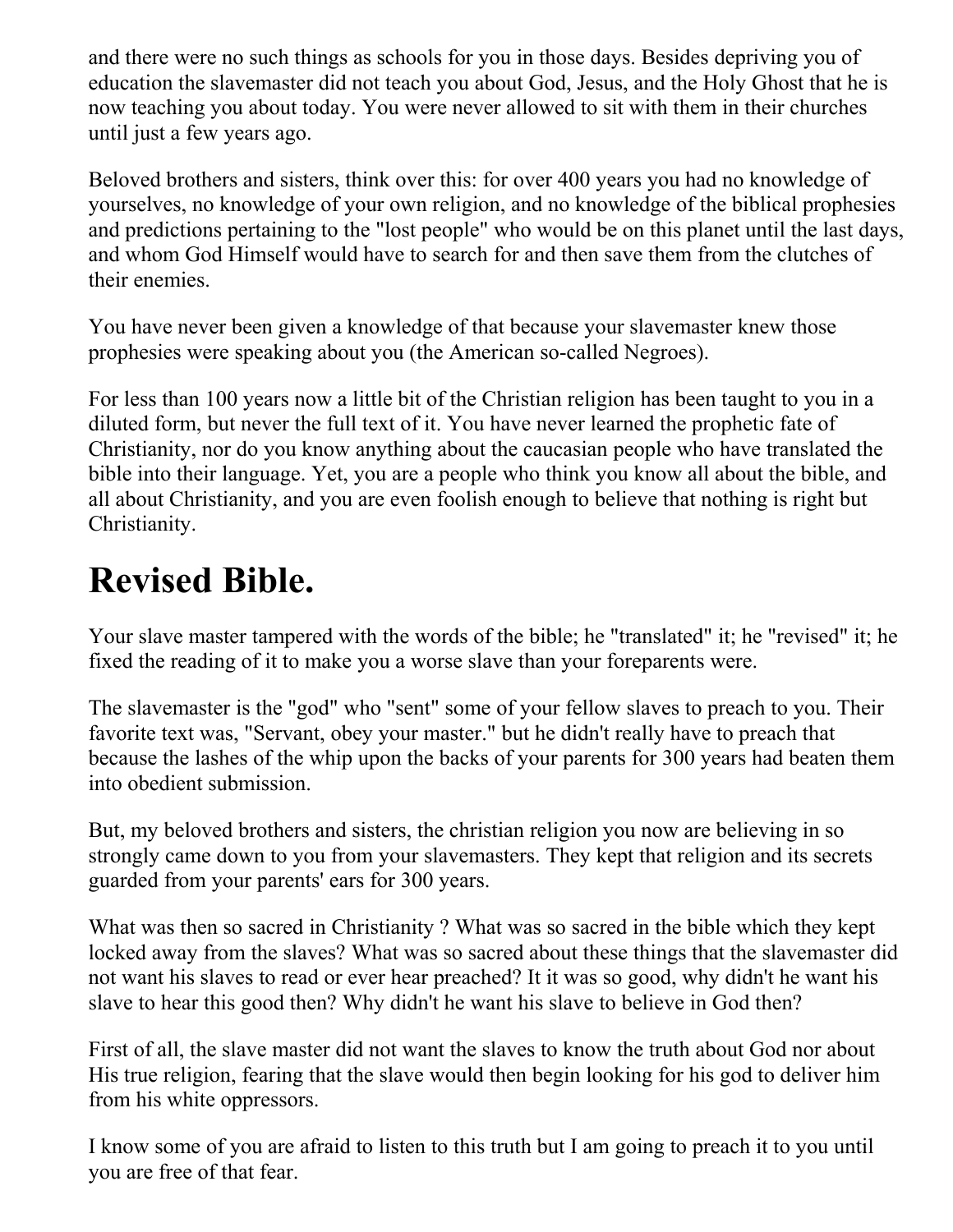and there were no such things as schools for you in those days. Besides depriving you of education the slavemaster did not teach you about God, Jesus, and the Holy Ghost that he is now teaching you about today. You were never allowed to sit with them in their churches until just a few years ago.

Beloved brothers and sisters, think over this: for over 400 years you had no knowledge of yourselves, no knowledge of your own religion, and no knowledge of the biblical prophesies and predictions pertaining to the "lost people" who would be on this planet until the last days, and whom God Himself would have to search for and then save them from the clutches of their enemies.

You have never been given a knowledge of that because your slavemaster knew those prophesies were speaking about you (the American so-called Negroes).

For less than 100 years now a little bit of the Christian religion has been taught to you in a diluted form, but never the full text of it. You have never learned the prophetic fate of Christianity, nor do you know anything about the caucasian people who have translated the bible into their language. Yet, you are a people who think you know all about the bible, and all about Christianity, and you are even foolish enough to believe that nothing is right but Christianity.

#### **Revised Bible.**

Your slave master tampered with the words of the bible; he "translated" it; he "revised" it; he fixed the reading of it to make you a worse slave than your foreparents were.

The slavemaster is the "god" who "sent" some of your fellow slaves to preach to you. Their favorite text was, "Servant, obey your master." but he didn't really have to preach that because the lashes of the whip upon the backs of your parents for 300 years had beaten them into obedient submission.

But, my beloved brothers and sisters, the christian religion you now are believing in so strongly came down to you from your slavemasters. They kept that religion and its secrets guarded from your parents' ears for 300 years.

What was then so sacred in Christianity ? What was so sacred in the bible which they kept locked away from the slaves? What was so sacred about these things that the slavemaster did not want his slaves to read or ever hear preached? It it was so good, why didn't he want his slave to hear this good then? Why didn't he want his slave to believe in God then?

First of all, the slave master did not want the slaves to know the truth about God nor about His true religion, fearing that the slave would then begin looking for his god to deliver him from his white oppressors.

I know some of you are afraid to listen to this truth but I am going to preach it to you until you are free of that fear.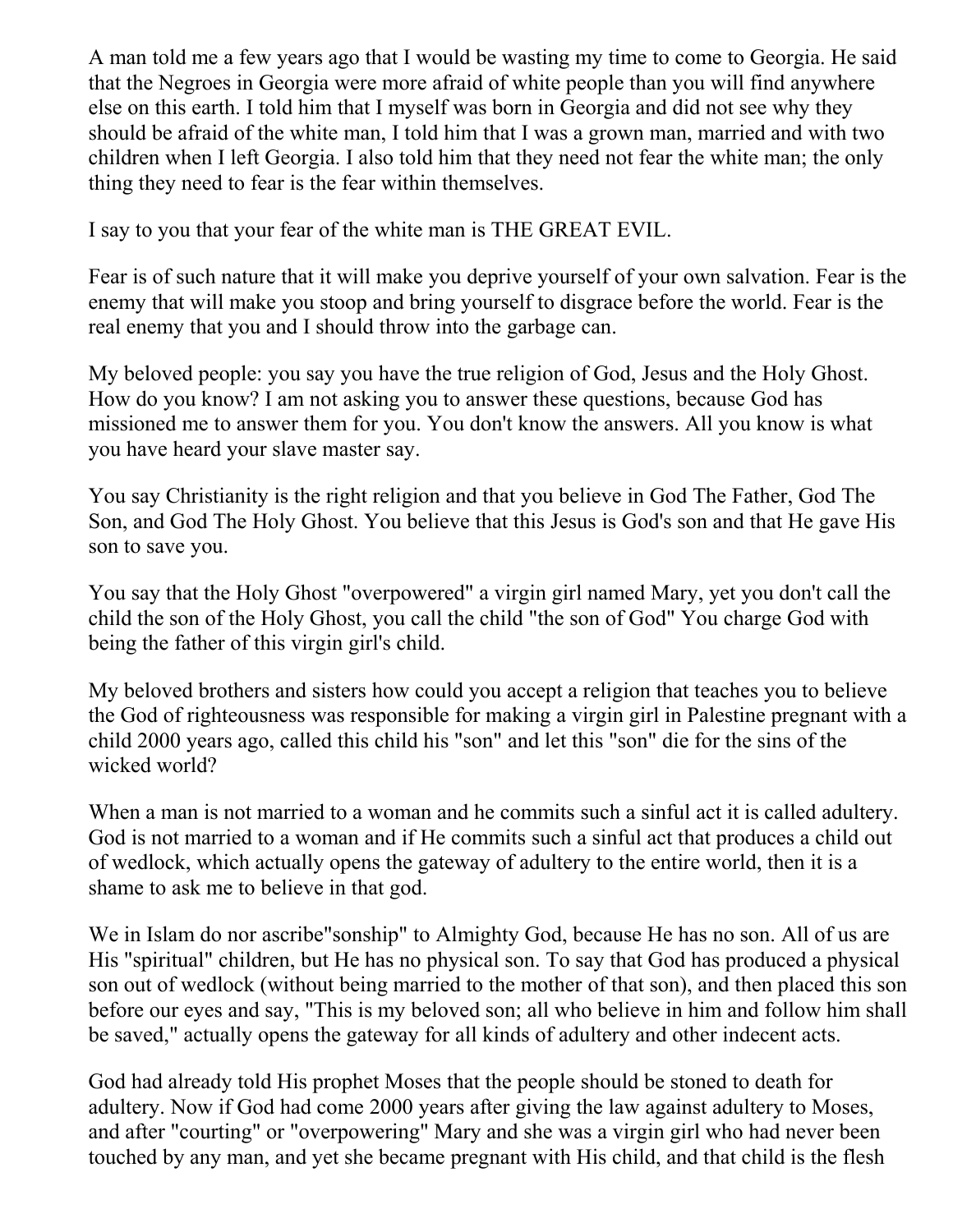A man told me a few years ago that I would be wasting my time to come to Georgia. He said that the Negroes in Georgia were more afraid of white people than you will find anywhere else on this earth. I told him that I myself was born in Georgia and did not see why they should be afraid of the white man, I told him that I was a grown man, married and with two children when I left Georgia. I also told him that they need not fear the white man; the only thing they need to fear is the fear within themselves.

I say to you that your fear of the white man is THE GREAT EVIL.

Fear is of such nature that it will make you deprive yourself of your own salvation. Fear is the enemy that will make you stoop and bring yourself to disgrace before the world. Fear is the real enemy that you and I should throw into the garbage can.

My beloved people: you say you have the true religion of God, Jesus and the Holy Ghost. How do you know? I am not asking you to answer these questions, because God has missioned me to answer them for you. You don't know the answers. All you know is what you have heard your slave master say.

You say Christianity is the right religion and that you believe in God The Father, God The Son, and God The Holy Ghost. You believe that this Jesus is God's son and that He gave His son to save you.

You say that the Holy Ghost "overpowered" a virgin girl named Mary, yet you don't call the child the son of the Holy Ghost, you call the child "the son of God" You charge God with being the father of this virgin girl's child.

My beloved brothers and sisters how could you accept a religion that teaches you to believe the God of righteousness was responsible for making a virgin girl in Palestine pregnant with a child 2000 years ago, called this child his "son" and let this "son" die for the sins of the wicked world?

When a man is not married to a woman and he commits such a sinful act it is called adultery. God is not married to a woman and if He commits such a sinful act that produces a child out of wedlock, which actually opens the gateway of adultery to the entire world, then it is a shame to ask me to believe in that god.

We in Islam do nor ascribe"sonship" to Almighty God, because He has no son. All of us are His "spiritual" children, but He has no physical son. To say that God has produced a physical son out of wedlock (without being married to the mother of that son), and then placed this son before our eyes and say, "This is my beloved son; all who believe in him and follow him shall be saved," actually opens the gateway for all kinds of adultery and other indecent acts.

God had already told His prophet Moses that the people should be stoned to death for adultery. Now if God had come 2000 years after giving the law against adultery to Moses, and after "courting" or "overpowering" Mary and she was a virgin girl who had never been touched by any man, and yet she became pregnant with His child, and that child is the flesh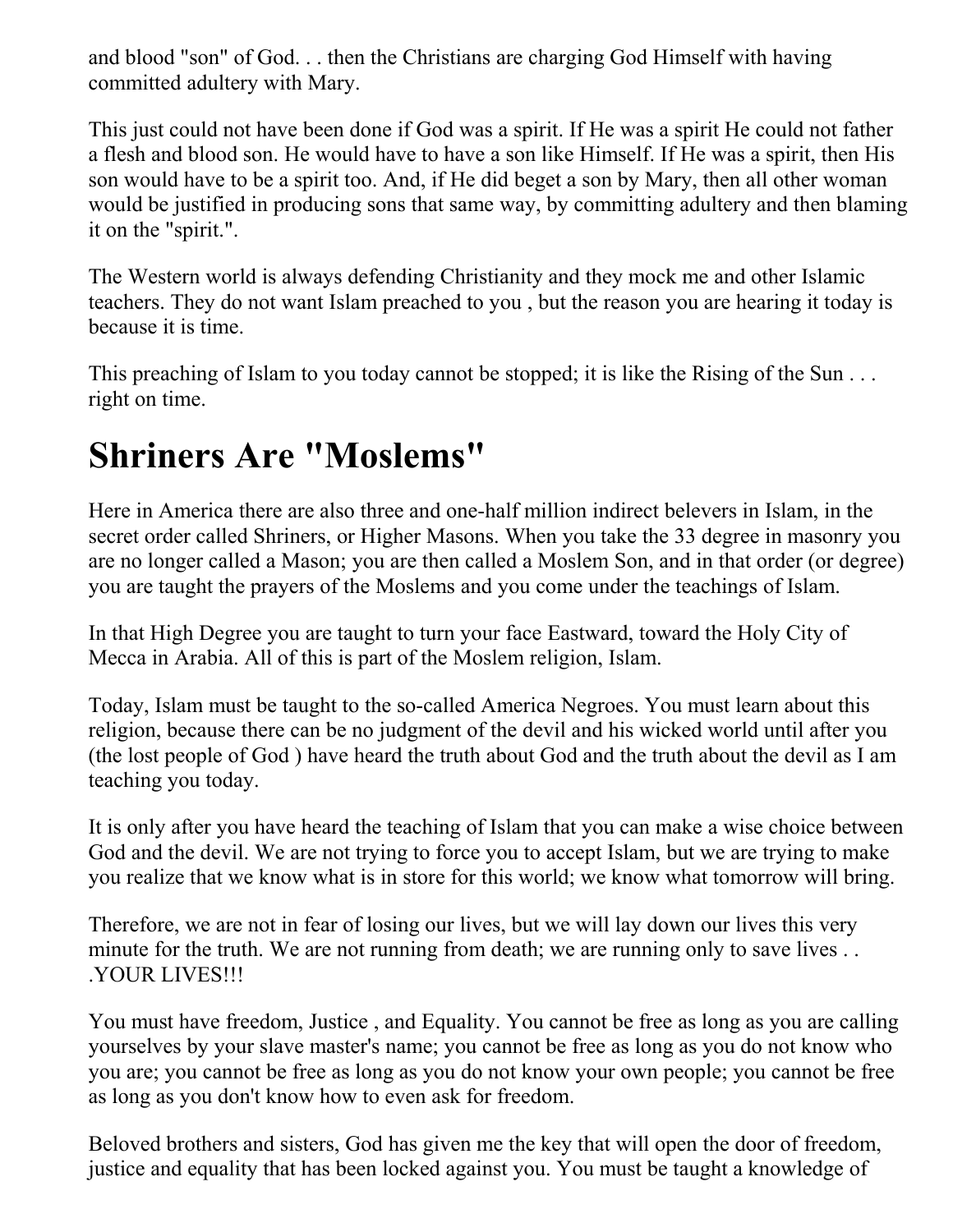and blood "son" of God. . . then the Christians are charging God Himself with having committed adultery with Mary.

This just could not have been done if God was a spirit. If He was a spirit He could not father a flesh and blood son. He would have to have a son like Himself. If He was a spirit, then His son would have to be a spirit too. And, if He did beget a son by Mary, then all other woman would be justified in producing sons that same way, by committing adultery and then blaming it on the "spirit.".

The Western world is always defending Christianity and they mock me and other Islamic teachers. They do not want Islam preached to you , but the reason you are hearing it today is because it is time.

This preaching of Islam to you today cannot be stopped; it is like the Rising of the Sun ... right on time.

#### **Shriners Are "Moslems"**

Here in America there are also three and one-half million indirect belevers in Islam, in the secret order called Shriners, or Higher Masons. When you take the 33 degree in masonry you are no longer called a Mason; you are then called a Moslem Son, and in that order (or degree) you are taught the prayers of the Moslems and you come under the teachings of Islam.

In that High Degree you are taught to turn your face Eastward, toward the Holy City of Mecca in Arabia. All of this is part of the Moslem religion, Islam.

Today, Islam must be taught to the so-called America Negroes. You must learn about this religion, because there can be no judgment of the devil and his wicked world until after you (the lost people of God ) have heard the truth about God and the truth about the devil as I am teaching you today.

It is only after you have heard the teaching of Islam that you can make a wise choice between God and the devil. We are not trying to force you to accept Islam, but we are trying to make you realize that we know what is in store for this world; we know what tomorrow will bring.

Therefore, we are not in fear of losing our lives, but we will lay down our lives this very minute for the truth. We are not running from death; we are running only to save lives ... .YOUR LIVES!!!

You must have freedom, Justice , and Equality. You cannot be free as long as you are calling yourselves by your slave master's name; you cannot be free as long as you do not know who you are; you cannot be free as long as you do not know your own people; you cannot be free as long as you don't know how to even ask for freedom.

Beloved brothers and sisters, God has given me the key that will open the door of freedom, justice and equality that has been locked against you. You must be taught a knowledge of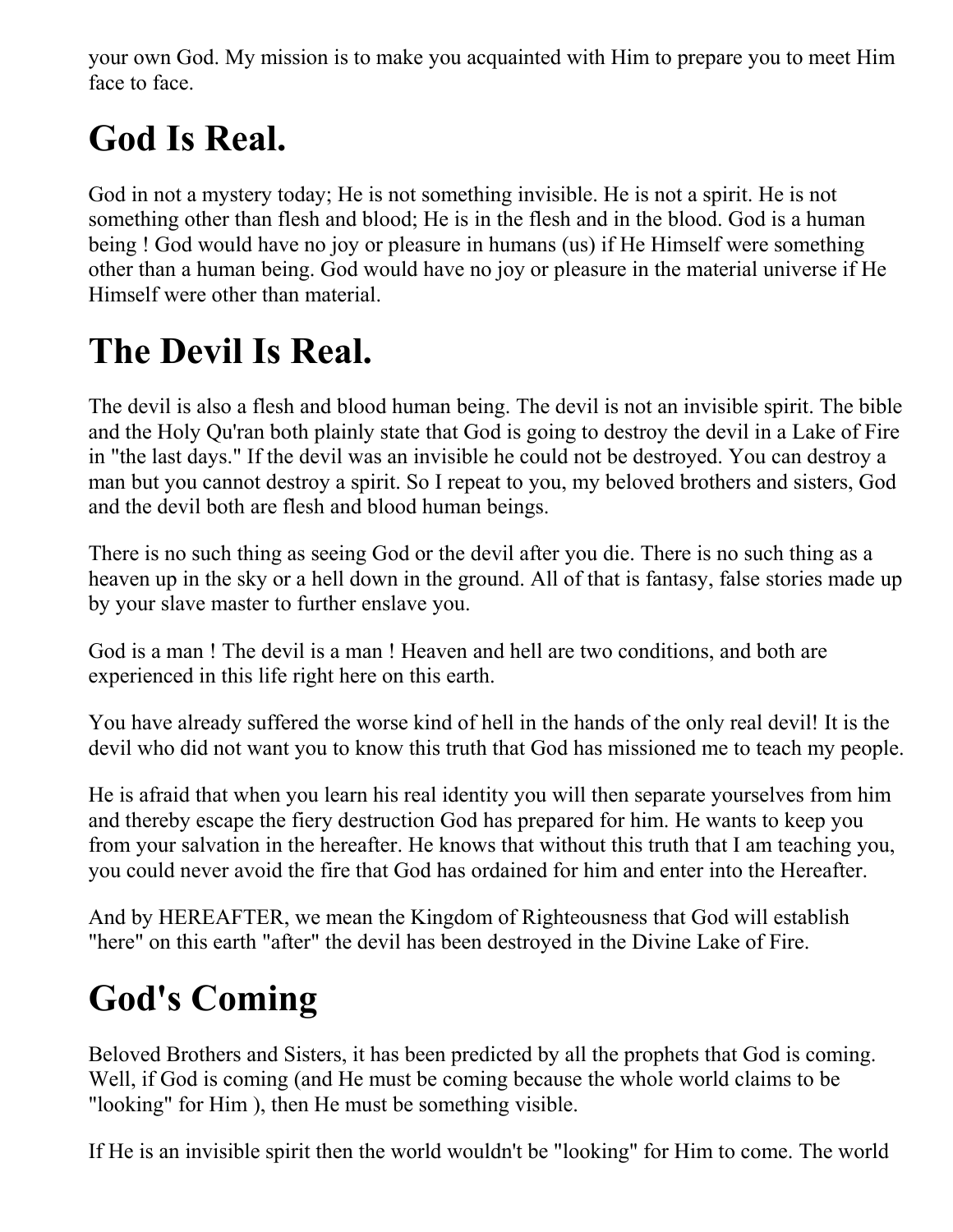your own God. My mission is to make you acquainted with Him to prepare you to meet Him face to face.

## **God Is Real.**

God in not a mystery today; He is not something invisible. He is not a spirit. He is not something other than flesh and blood; He is in the flesh and in the blood. God is a human being ! God would have no joy or pleasure in humans (us) if He Himself were something other than a human being. God would have no joy or pleasure in the material universe if He Himself were other than material.

## **The Devil Is Real.**

The devil is also a flesh and blood human being. The devil is not an invisible spirit. The bible and the Holy Qu'ran both plainly state that God is going to destroy the devil in a Lake of Fire in "the last days." If the devil was an invisible he could not be destroyed. You can destroy a man but you cannot destroy a spirit. So I repeat to you, my beloved brothers and sisters, God and the devil both are flesh and blood human beings.

There is no such thing as seeing God or the devil after you die. There is no such thing as a heaven up in the sky or a hell down in the ground. All of that is fantasy, false stories made up by your slave master to further enslave you.

God is a man ! The devil is a man ! Heaven and hell are two conditions, and both are experienced in this life right here on this earth.

You have already suffered the worse kind of hell in the hands of the only real devil! It is the devil who did not want you to know this truth that God has missioned me to teach my people.

He is afraid that when you learn his real identity you will then separate yourselves from him and thereby escape the fiery destruction God has prepared for him. He wants to keep you from your salvation in the hereafter. He knows that without this truth that I am teaching you, you could never avoid the fire that God has ordained for him and enter into the Hereafter.

And by HEREAFTER, we mean the Kingdom of Righteousness that God will establish "here" on this earth "after" the devil has been destroyed in the Divine Lake of Fire.

## **God's Coming**

Beloved Brothers and Sisters, it has been predicted by all the prophets that God is coming. Well, if God is coming (and He must be coming because the whole world claims to be "looking" for Him ), then He must be something visible.

If He is an invisible spirit then the world wouldn't be "looking" for Him to come. The world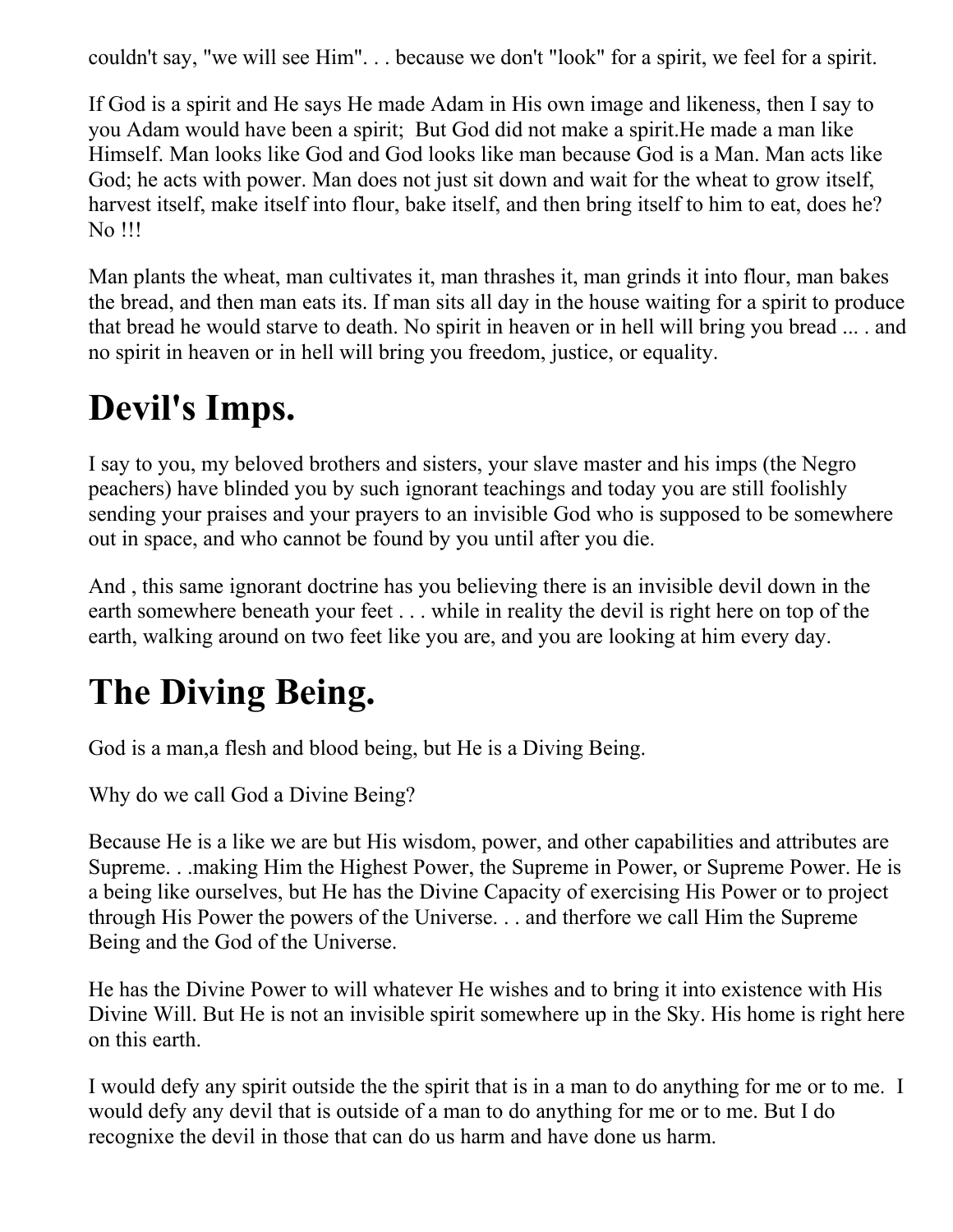couldn't say, "we will see Him". . . because we don't "look" for a spirit, we feel for a spirit.

If God is a spirit and He says He made Adam in His own image and likeness, then I say to you Adam would have been a spirit; But God did not make a spirit.He made a man like Himself. Man looks like God and God looks like man because God is a Man. Man acts like God; he acts with power. Man does not just sit down and wait for the wheat to grow itself, harvest itself, make itself into flour, bake itself, and then bring itself to him to eat, does he? No !!!

Man plants the wheat, man cultivates it, man thrashes it, man grinds it into flour, man bakes the bread, and then man eats its. If man sits all day in the house waiting for a spirit to produce that bread he would starve to death. No spirit in heaven or in hell will bring you bread ... . and no spirit in heaven or in hell will bring you freedom, justice, or equality.

## **Devil's Imps.**

I say to you, my beloved brothers and sisters, your slave master and his imps (the Negro peachers) have blinded you by such ignorant teachings and today you are still foolishly sending your praises and your prayers to an invisible God who is supposed to be somewhere out in space, and who cannot be found by you until after you die.

And , this same ignorant doctrine has you believing there is an invisible devil down in the earth somewhere beneath your feet . . . while in reality the devil is right here on top of the earth, walking around on two feet like you are, and you are looking at him every day.

## **The Diving Being.**

God is a man,a flesh and blood being, but He is a Diving Being.

Why do we call God a Divine Being?

Because He is a like we are but His wisdom, power, and other capabilities and attributes are Supreme. . .making Him the Highest Power, the Supreme in Power, or Supreme Power. He is a being like ourselves, but He has the Divine Capacity of exercising His Power or to project through His Power the powers of the Universe. . . and therfore we call Him the Supreme Being and the God of the Universe.

He has the Divine Power to will whatever He wishes and to bring it into existence with His Divine Will. But He is not an invisible spirit somewhere up in the Sky. His home is right here on this earth.

I would defy any spirit outside the the spirit that is in a man to do anything for me or to me. I would defy any devil that is outside of a man to do anything for me or to me. But I do recognixe the devil in those that can do us harm and have done us harm.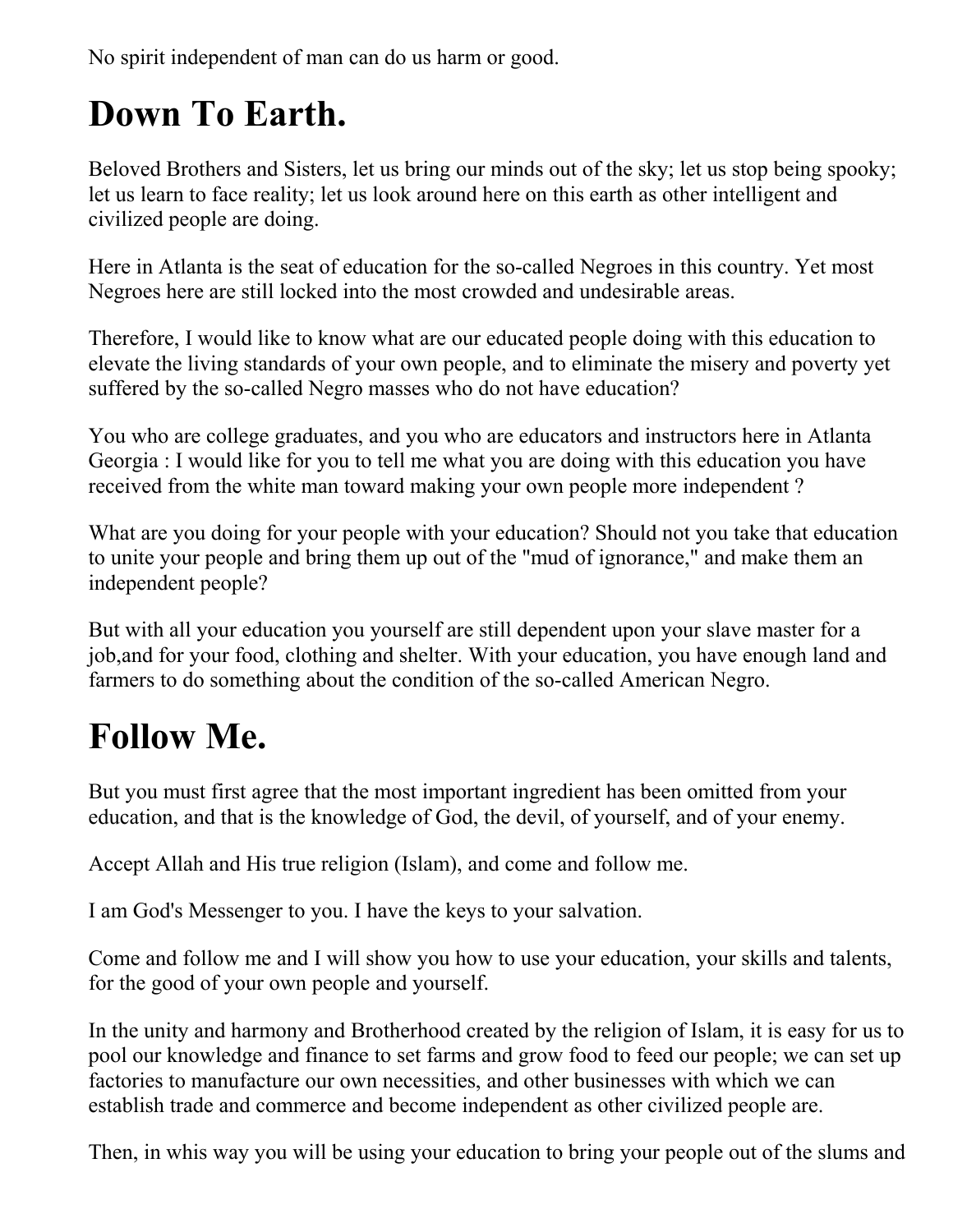No spirit independent of man can do us harm or good.

#### **Down To Earth.**

Beloved Brothers and Sisters, let us bring our minds out of the sky; let us stop being spooky; let us learn to face reality; let us look around here on this earth as other intelligent and civilized people are doing.

Here in Atlanta is the seat of education for the so-called Negroes in this country. Yet most Negroes here are still locked into the most crowded and undesirable areas.

Therefore, I would like to know what are our educated people doing with this education to elevate the living standards of your own people, and to eliminate the misery and poverty yet suffered by the so-called Negro masses who do not have education?

You who are college graduates, and you who are educators and instructors here in Atlanta Georgia : I would like for you to tell me what you are doing with this education you have received from the white man toward making your own people more independent ?

What are you doing for your people with your education? Should not you take that education to unite your people and bring them up out of the "mud of ignorance," and make them an independent people?

But with all your education you yourself are still dependent upon your slave master for a job,and for your food, clothing and shelter. With your education, you have enough land and farmers to do something about the condition of the so-called American Negro.

#### **Follow Me.**

But you must first agree that the most important ingredient has been omitted from your education, and that is the knowledge of God, the devil, of yourself, and of your enemy.

Accept Allah and His true religion (Islam), and come and follow me.

I am God's Messenger to you. I have the keys to your salvation.

Come and follow me and I will show you how to use your education, your skills and talents, for the good of your own people and yourself.

In the unity and harmony and Brotherhood created by the religion of Islam, it is easy for us to pool our knowledge and finance to set farms and grow food to feed our people; we can set up factories to manufacture our own necessities, and other businesses with which we can establish trade and commerce and become independent as other civilized people are.

Then, in whis way you will be using your education to bring your people out of the slums and